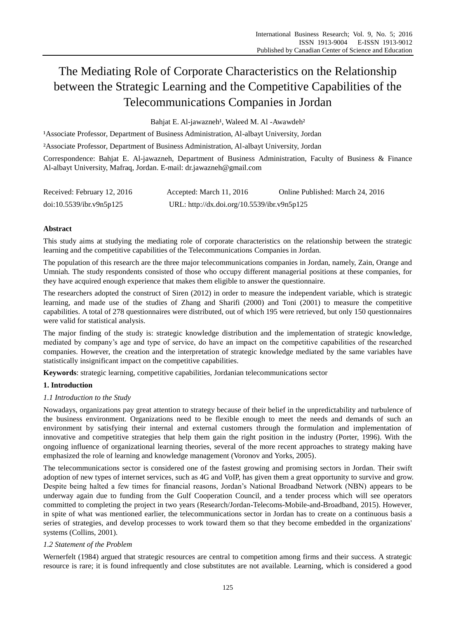# The Mediating Role of Corporate Characteristics on the Relationship between the Strategic Learning and the Competitive Capabilities of the Telecommunications Companies in Jordan

Bahjat E. Al-jawazneh <sup>1</sup>, Waleed M. Al -Awawdeh<sup>2</sup>

Associate Professor, Department of Business Administration, Al-albayt University, Jordan

²Associate Professor, Department of Business Administration, Al-albayt University, Jordan

Correspondence: Bahjat E. Al-jawazneh, Department of Business Administration, Faculty of Business & Finance Al-albayt University, Mafraq, Jordan. E-mail: dr.jawazneh@gmail.com

| Received: February 12, 2016 | Accepted: March 11, 2016                    | Online Published: March 24, 2016 |
|-----------------------------|---------------------------------------------|----------------------------------|
| doi:10.5539/ibr.v9n5p125    | URL: http://dx.doi.org/10.5539/ibr.v9n5p125 |                                  |

## **Abstract**

This study aims at studying the mediating role of corporate characteristics on the relationship between the strategic learning and the competitive capabilities of the Telecommunications Companies in Jordan.

The population of this research are the three major telecommunications companies in Jordan, namely, Zain, Orange and Umniah. The study respondents consisted of those who occupy different managerial positions at these companies, for they have acquired enough experience that makes them eligible to answer the questionnaire.

The researchers adopted the construct of Siren (2012) in order to measure the independent variable, which is strategic learning, and made use of the studies of Zhang and Sharifi (2000) and Toni (2001) to measure the competitive capabilities. A total of 278 questionnaires were distributed, out of which 195 were retrieved, but only 150 questionnaires were valid for statistical analysis.

The major finding of the study is: strategic knowledge distribution and the implementation of strategic knowledge, mediated by company's age and type of service, do have an impact on the competitive capabilities of the researched companies. However, the creation and the interpretation of strategic knowledge mediated by the same variables have statistically insignificant impact on the competitive capabilities.

**Keywords**: strategic learning, competitive capabilities, Jordanian telecommunications sector

# **1. Introduction**

## *1.1 Introduction to the Study*

Nowadays, organizations pay great attention to strategy because of their belief in the unpredictability and turbulence of the business environment. Organizations need to be flexible enough to meet the needs and demands of such an environment by satisfying their internal and external customers through the formulation and implementation of innovative and competitive strategies that help them gain the right position in the industry (Porter, 1996). With the ongoing influence of organizational learning theories, several of the more recent approaches to strategy making have emphasized the role of learning and knowledge management (Voronov and Yorks, 2005).

The telecommunications sector is considered one of the fastest growing and promising sectors in Jordan. Their swift adoption of new types of internet services, such as 4G and VoIP, has given them a great opportunity to survive and grow. Despite being halted a few times for financial reasons, Jordan's National Broadband Network (NBN) appears to be underway again due to funding from the Gulf Cooperation Council, and a tender process which will see operators committed to completing the project in two years (Research/Jordan-Telecoms-Mobile-and-Broadband, 2015). However, in spite of what was mentioned earlier, the telecommunications sector in Jordan has to create on a continuous basis a series of strategies, and develop processes to work toward them so that they become embedded in the organizations' systems (Collins, 2001).

# *1.2 Statement of the Problem*

Wernerfelt (1984) argued that strategic resources are central to competition among firms and their success. A strategic resource is rare; it is found infrequently and close substitutes are not available. Learning, which is considered a good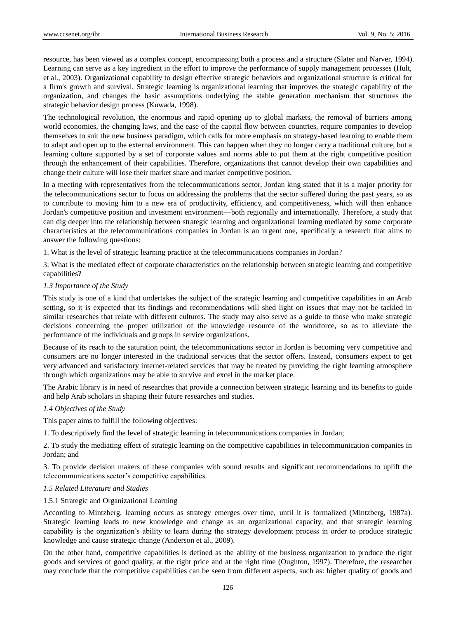resource, has been viewed as a complex concept, encompassing both a process and a structure (Slater and Narver, 1994). Learning can serve as a key ingredient in the effort to improve the performance of supply management processes (Hult, et al., 2003). Organizational capability to design effective strategic behaviors and organizational structure is critical for a firm's growth and survival. Strategic learning is organizational learning that improves the strategic capability of the organization, and changes the basic assumptions underlying the stable generation mechanism that structures the strategic behavior design process (Kuwada, 1998).

The technological revolution, the enormous and rapid opening up to global markets, the removal of barriers among world economies, the changing laws, and the ease of the capital flow between countries, require companies to develop themselves to suit the new business paradigm, which calls for more emphasis on strategy-based learning to enable them to adapt and open up to the external environment. This can happen when they no longer carry a traditional culture, but a learning culture supported by a set of corporate values and norms able to put them at the right competitive position through the enhancement of their capabilities. Therefore, organizations that cannot develop their own capabilities and change their culture will lose their market share and market competitive position.

In a meeting with representatives from the telecommunications sector, Jordan king stated that it is a major priority for the telecommunications sector to focus on addressing the problems that the sector suffered during the past years, so as to contribute to moving him to a new era of productivity, efficiency, and competitiveness, which will then enhance Jordan's competitive position and investment environment—both regionally and internationally. Therefore, a study that can dig deeper into the relationship between strategic learning and organizational learning mediated by some corporate characteristics at the telecommunications companies in Jordan is an urgent one, specifically a research that aims to answer the following questions:

1. What is the level of strategic learning practice at the telecommunications companies in Jordan?

3. What is the mediated effect of corporate characteristics on the relationship between strategic learning and competitive capabilities?

## *1.3 Importance of the Study*

This study is one of a kind that undertakes the subject of the strategic learning and competitive capabilities in an Arab setting, so it is expected that its findings and recommendations will shed light on issues that may not be tackled in similar researches that relate with different cultures. The study may also serve as a guide to those who make strategic decisions concerning the proper utilization of the knowledge resource of the workforce, so as to alleviate the performance of the individuals and groups in service organizations.

Because of its reach to the saturation point, the telecommunications sector in Jordan is becoming very competitive and consumers are no longer interested in the traditional services that the sector offers. Instead, consumers expect to get very advanced and satisfactory internet-related services that may be treated by providing the right learning atmosphere through which organizations may be able to survive and excel in the market place.

The Arabic library is in need of researches that provide a connection between strategic learning and its benefits to guide and help Arab scholars in shaping their future researches and studies.

## *1.4 Objectives of the Study*

This paper aims to fulfill the following objectives:

1. To descriptively find the level of strategic learning in telecommunications companies in Jordan;

2. To study the mediating effect of strategic learning on the competitive capabilities in telecommunication companies in Jordan; and

3. To provide decision makers of these companies with sound results and significant recommendations to uplift the telecommunications sector's competitive capabilities.

#### *1.5 Related Literature and Studies*

#### 1.5.1 Strategic and Organizational Learning

According to Mintzberg, learning occurs as strategy emerges over time, until it is formalized (Mintzberg, 1987a). Strategic learning leads to new knowledge and change as an organizational capacity, and that strategic learning capability is the organization's ability to learn during the strategy development process in order to produce strategic knowledge and cause strategic change (Anderson et al., 2009).

On the other hand, competitive capabilities is defined as the ability of the business organization to produce the right goods and services of good quality, at the right price and at the right time (Oughton, 1997). Therefore, the researcher may conclude that the competitive capabilities can be seen from different aspects, such as: higher quality of goods and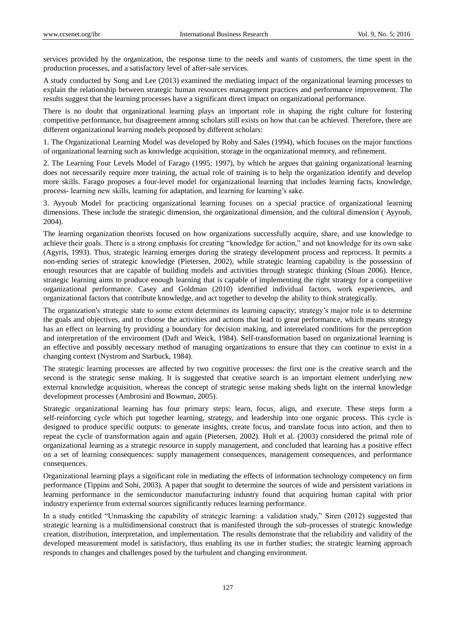services provided by the organization, the response time to the needs and wants of customers, the time spent in the production processes, and a satisfactory level of after-sale services.

A study conducted by Song and Lee (2013) examined the mediating impact of the organizational learning processes to explain the relationship between strategic human resources management practices and performance improvement. The results suggest that the learning processes have a significant direct impact on organizational performance.

There is no doubt that organizational learning plays an important role in shaping the right culture for fostering competitive performance, but disagreement among scholars still exists on how that can be achieved. Therefore, there are different organizational learning models proposed by different scholars:

1. The Organizational Learning Model was developed by Roby and Sales (1994), which focuses on the major functions of organizational learning such as knowledge acquisition, storage in the organizational memory, and refinement.

2. The Learning Four Levels Model of Farago (1995; 1997), by which he argues that gaining organizational learning does not necessarily require more training, the actual role of training is to help the organization identify and develop more skills. Farago proposes a four-level model for organizational learning that includes learning facts, knowledge, process- learning new skills, learning for adaptation, and learning for learning's sake.

3. Ayyoub Model for practicing organizational learning focuses on a special practice of organizational learning dimensions. These include the strategic dimension, the organizational dimension, and the cultural dimension ( Ayyoub, 2004).

The learning organization theorists focused on how organizations successfully acquire, share, and use knowledge to achieve their goals. There is a strong emphasis for creating "knowledge for action," and not knowledge for its own sake (Agyris, 1993). Thus, strategic learning emerges during the strategy development process and reprocess. It permits a non-ending series of strategic knowledge (Pietersen, 2002), while strategic learning capability is the possession of enough resources that are capable of building models and activities through strategic thinking (Sloan 2006). Hence, strategic learning aims to produce enough learning that is capable of implementing the right strategy for a competitive organizational performance. Casey and Goldman (2010) identified individual factors, work experiences, and organizational factors that contribute knowledge, and act together to develop the ability to think strategically.

The organization's strategic state to some extent determines its learning capacity; strategy's major role is to determine the goals and objectives, and to choose the activities and actions that lead to great performance, which means strategy has an effect on learning by providing a boundary for decision making, and interrelated conditions for the perception and interpretation of the environment (Daft and Weick, 1984). Self-transformation based on organizational learning is an effective and possibly necessary method of managing organizations to ensure that they can continue to exist in a changing context (Nystrom and Starbuck, 1984).

The strategic learning processes are affected by two cognitive processes: the first one is the creative search and the second is the strategic sense making. It is suggested that creative search is an important element underlying new external knowledge acquisition, whereas the concept of strategic sense making sheds light on the internal knowledge development processes (Ambrosini and Bowman, 2005).

Strategic organizational learning has four primary steps: learn, focus, align, and execute. These steps form a self-reinforcing cycle which put together learning, strategy, and leadership into one organic process. This cycle is designed to produce specific outputs: to generate insights, create focus, and translate focus into action, and then to repeat the cycle of transformation again and again (Pietersen, 2002). Hult et al. (2003) considered the primal role of organizational learning as a strategic resource in supply management, and concluded that learning has a positive effect on a set of learning consequences: supply management consequences, management consequences, and performance consequences.

Organizational learning plays a significant role in mediating the effects of information technology competency on firm performance (Tippins and Sohi, 2003). A paper that sought to determine the sources of wide and persistent variations in learning performance in the semiconductor manufacturing industry found that acquiring human capital with prior industry experience from external sources significantly reduces learning performance.

In a study entitled "Unmasking the capability of strategic learning: a validation study," Siren (2012) suggested that strategic learning is a multidimensional construct that is manifested through the sub-processes of strategic knowledge creation, distribution, interpretation, and implementation. The results demonstrate that the reliability and validity of the developed measurement model is satisfactory, thus enabling its use in further studies; the strategic learning approach responds to changes and challenges posed by the turbulent and changing environment.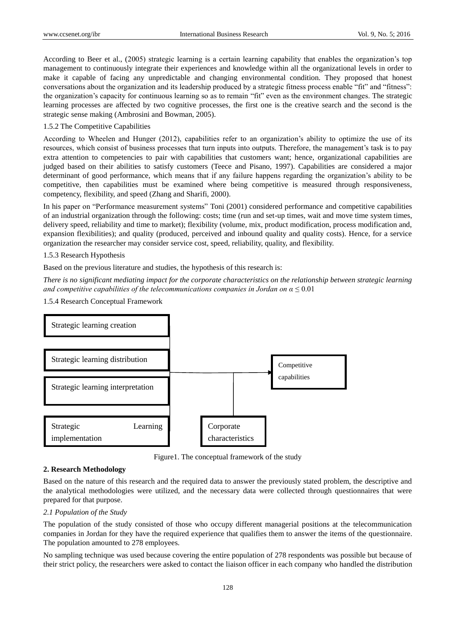According to Beer et al., (2005) strategic learning is a certain learning capability that enables the organization's top management to continuously integrate their experiences and knowledge within all the organizational levels in order to make it capable of facing any unpredictable and changing environmental condition. They proposed that honest conversations about the organization and its leadership produced by a strategic fitness process enable "fit" and "fitness": the organization's capacity for continuous learning so as to remain "fit" even as the environment changes. The strategic learning processes are affected by two cognitive processes, the first one is the creative search and the second is the strategic sense making (Ambrosini and Bowman, 2005).

## 1.5.2 The Competitive Capabilities

According to Wheelen and Hunger (2012), capabilities refer to an organization's ability to optimize the use of its resources, which consist of business processes that turn inputs into outputs. Therefore, the management's task is to pay extra attention to competencies to pair with capabilities that customers want; hence, organizational capabilities are judged based on their abilities to satisfy customers (Teece and Pisano, 1997). Capabilities are considered a major determinant of good performance, which means that if any failure happens regarding the organization's ability to be competitive, then capabilities must be examined where being competitive is measured through responsiveness, competency, flexibility, and speed (Zhang and Sharifi, 2000).

In his paper on "Performance measurement systems" Toni (2001) considered performance and competitive capabilities of an industrial organization through the following: costs; time (run and set-up times, wait and move time system times, delivery speed, reliability and time to market); flexibility (volume, mix, product modification, process modification and, expansion flexibilities); and quality (produced, perceived and inbound quality and quality costs). Hence, for a service organization the researcher may consider service cost, speed, reliability, quality, and flexibility.

#### 1.5.3 Research Hypothesis

Based on the previous literature and studies, the hypothesis of this research is:

*There is no significant mediating impact for the corporate characteristics on the relationship between strategic learning and competitive capabilities of the telecommunications companies in Jordan on*  $\alpha \leq 0.01$ 

1.5.4 Research Conceptual Framework



Figure1. The conceptual framework of the study

## **2. Research Methodology**

Based on the nature of this research and the required data to answer the previously stated problem, the descriptive and the analytical methodologies were utilized, and the necessary data were collected through questionnaires that were prepared for that purpose.

#### *2.1 Population of the Study*

The population of the study consisted of those who occupy different managerial positions at the telecommunication companies in Jordan for they have the required experience that qualifies them to answer the items of the questionnaire. The population amounted to 278 employees.

No sampling technique was used because covering the entire population of 278 respondents was possible but because of their strict policy, the researchers were asked to contact the liaison officer in each company who handled the distribution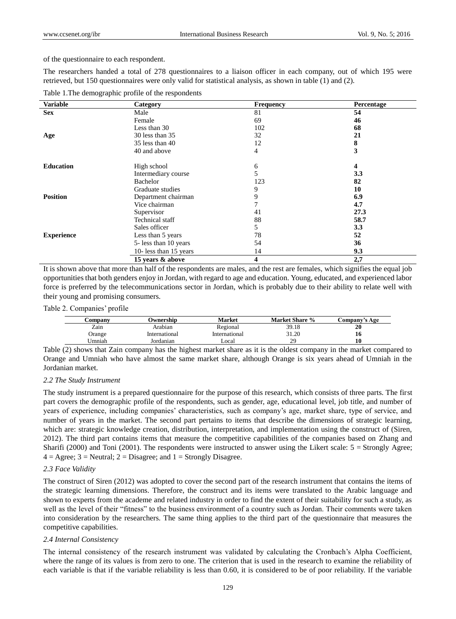of the questionnaire to each respondent.

The researchers handed a total of 278 questionnaires to a liaison officer in each company, out of which 195 were retrieved, but 150 questionnaires were only valid for statistical analysis, as shown in table (1) and (2).

Table 1.The demographic profile of the respondents

| <b>Variable</b>   | Category               | <b>Frequency</b> | Percentage |
|-------------------|------------------------|------------------|------------|
| <b>Sex</b>        | Male                   | 81               | 54         |
|                   | Female                 | 69               | 46         |
|                   | Less than 30           | 102              | 68         |
| Age               | $30$ less than $35$    | 32               | 21         |
|                   | $35$ less than $40$    | 12               | 8          |
|                   | 40 and above           | 4                | 3          |
| <b>Education</b>  | High school            | 6                | 4          |
|                   | Intermediary course    | 5                | 3.3        |
|                   | Bachelor               | 123              | 82         |
|                   | Graduate studies       | 9                | 10         |
| <b>Position</b>   | Department chairman    | 9                | 6.9        |
|                   | Vice chairman          | 7                | 4.7        |
|                   | Supervisor             | 41               | 27.3       |
|                   | Technical staff        | 88               | 58.7       |
|                   | Sales officer          | 5                | 3.3        |
| <b>Experience</b> | Less than 5 years      | 78               | 52         |
|                   | 5- less than 10 years  | 54               | 36         |
|                   | 10- less than 15 years | 14               | 9.3        |
|                   | 15 years & above       | 4                | 2,7        |

It is shown above that more than half of the respondents are males, and the rest are females, which signifies the equal job opportunities that both genders enjoy in Jordan, with regard to age and education. Young, educated, and experienced labor force is preferred by the telecommunications sector in Jordan, which is probably due to their ability to relate well with their young and promising consumers.

Table 2. Companies' profile

| <b>Company</b> | <b>)wnership</b> | <b>Market</b> | Market Share % | Company's Age |
|----------------|------------------|---------------|----------------|---------------|
| Zain           | Arabian          | Regional      | 39.18          | 20            |
| Orange         | International    | International | 31.20          | 16            |
| Jmniah         | Jordanian        | Local         | 29             | 10            |

Table (2) shows that Zain company has the highest market share as it is the oldest company in the market compared to Orange and Umniah who have almost the same market share, although Orange is six years ahead of Umniah in the Jordanian market.

## *2.2 The Study Instrument*

The study instrument is a prepared questionnaire for the purpose of this research, which consists of three parts. The first part covers the demographic profile of the respondents, such as gender, age, educational level, job title, and number of years of experience, including companies' characteristics, such as company's age, market share, type of service, and number of years in the market. The second part pertains to items that describe the dimensions of strategic learning, which are: strategic knowledge creation, distribution, interpretation, and implementation using the construct of (Siren, 2012). The third part contains items that measure the competitive capabilities of the companies based on Zhang and Sharifi (2000) and Toni (2001). The respondents were instructed to answer using the Likert scale: 5 = Strongly Agree;  $4 = \text{Agree}$ ;  $3 = \text{Neutral}$ ;  $2 = \text{Disagree}$ ; and  $1 = \text{Strongly Disagree}$ .

## *2.3 Face Validity*

The construct of Siren (2012) was adopted to cover the second part of the research instrument that contains the items of the strategic learning dimensions. Therefore, the construct and its items were translated to the Arabic language and shown to experts from the academe and related industry in order to find the extent of their suitability for such a study, as well as the level of their "fitness" to the business environment of a country such as Jordan. Their comments were taken into consideration by the researchers. The same thing applies to the third part of the questionnaire that measures the competitive capabilities.

#### *2.4 Internal Consistency*

The internal consistency of the research instrument was validated by calculating the Cronbach's Alpha Coefficient, where the range of its values is from zero to one. The criterion that is used in the research to examine the reliability of each variable is that if the variable reliability is less than 0.60, it is considered to be of poor reliability. If the variable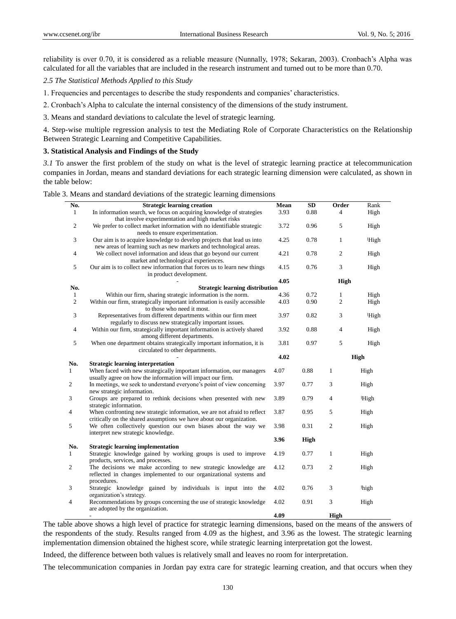reliability is over 0.70, it is considered as a reliable measure (Nunnally, 1978; Sekaran, 2003). Cronbach's Alpha was calculated for all the variables that are included in the research instrument and turned out to be more than 0.70.

*2.5 The Statistical Methods Applied to this Study*

1. Frequencies and percentages to describe the study respondents and companies' characteristics.

2. Cronbach's Alpha to calculate the internal consistency of the dimensions of the study instrument.

3. Means and standard deviations to calculate the level of strategic learning.

4. Step-wise multiple regression analysis to test the Mediating Role of Corporate Characteristics on the Relationship Between Strategic Learning and Competitive Capabilities.

## **3. Statistical Analysis and Findings of the Study**

*3.1* To answer the first problem of the study on what is the level of strategic learning practice at telecommunication companies in Jordan, means and standard deviations for each strategic learning dimension were calculated, as shown in the table below:

Table 3. Means and standard deviations of the strategic learning dimensions

| No.              | <b>Strategic learning creation</b>                                                                                                          | Mean | $\overline{\text{SD}}$ | Order          | Rank |
|------------------|---------------------------------------------------------------------------------------------------------------------------------------------|------|------------------------|----------------|------|
| 1                | In information search, we focus on acquiring knowledge of strategies<br>that involve experimentation and high market risks                  | 3.93 | 0.88                   | 4              | High |
| $\overline{c}$   | We prefer to collect market information with no identifiable strategic                                                                      | 3.72 | 0.96                   | 5              | High |
|                  | needs to ensure experimentation.                                                                                                            |      |                        |                |      |
| 3                | Our aim is to acquire knowledge to develop projects that lead us into<br>new areas of learning such as new markets and technological areas. | 4.25 | 0.78                   | $\mathbf{1}$   | High |
| 4                | We collect novel information and ideas that go beyond our current                                                                           | 4.21 | 0.78                   | $\mathfrak{2}$ | High |
|                  | market and technological experiences.                                                                                                       |      |                        |                |      |
| 5                | Our aim is to collect new information that forces us to learn new things<br>in product development.                                         | 4.15 | 0.76                   | 3              | High |
|                  |                                                                                                                                             | 4.05 |                        | <b>High</b>    |      |
| No.              | <b>Strategic learning distribution</b>                                                                                                      |      |                        |                |      |
| 1                | Within our firm, sharing strategic information is the norm.                                                                                 | 4.36 | 0.72                   | 1              | High |
| $\boldsymbol{2}$ | Within our firm, strategically important information is easily accessible                                                                   | 4.03 | 0.90                   | 2              | High |
|                  | to those who need it most.                                                                                                                  |      |                        |                |      |
| 3                | Representatives from different departments within our firm meet                                                                             | 3.97 | 0.82                   | 3              | High |
|                  | regularly to discuss new strategically important issues.                                                                                    |      |                        |                |      |
| $\overline{4}$   | Within our firm, strategically important information is actively shared<br>among different departments.                                     | 3.92 | 0.88                   | 4              | High |
| 5                | When one department obtains strategically important information, it is<br>circulated to other departments.                                  | 3.81 | 0.97                   | 5              | High |
|                  |                                                                                                                                             | 4.02 |                        |                |      |
|                  |                                                                                                                                             |      | <b>High</b>            |                |      |
| No.              | <b>Strategic learning interpretation</b>                                                                                                    |      |                        |                |      |
| 1                | When faced with new strategically important information, our managers                                                                       | 4.07 | 0.88                   | $\mathbf{1}$   | High |
|                  | usually agree on how the information will impact our firm.                                                                                  |      |                        |                |      |
| 2                | In meetings, we seek to understand everyone's point of view concerning                                                                      | 3.97 | 0.77                   | 3              | High |
|                  | new strategic information.                                                                                                                  |      |                        |                |      |
| 3                | Groups are prepared to rethink decisions when presented with new                                                                            | 3.89 | 0.79                   | $\overline{4}$ | High |
|                  | strategic information.                                                                                                                      |      |                        |                |      |
| 4                | When confronting new strategic information, we are not afraid to reflect                                                                    | 3.87 | 0.95                   | 5              | High |
|                  | critically on the shared assumptions we have about our organization.                                                                        |      |                        |                |      |
| 5                | We often collectively question our own biases about the way we                                                                              | 3.98 | 0.31                   | $\mathfrak{2}$ | High |
|                  | interpret new strategic knowledge.                                                                                                          |      |                        |                |      |
|                  |                                                                                                                                             | 3.96 | <b>High</b>            |                |      |
| No.              | <b>Strategic learning implementation</b>                                                                                                    |      |                        |                |      |
| 1                | Strategic knowledge gained by working groups is used to improve                                                                             | 4.19 | 0.77                   | $\mathbf{1}$   | High |
|                  | products, services, and processes.                                                                                                          |      |                        |                |      |
| 2                | The decisions we make according to new strategic knowledge are                                                                              | 4.12 | 0.73                   | 2              | High |
|                  | reflected in changes implemented to our organizational systems and                                                                          |      |                        |                |      |
|                  | procedures.                                                                                                                                 |      |                        |                |      |
| 3                | Strategic knowledge gained by individuals is input into the                                                                                 | 4.02 | 0.76                   | 3              | high |
|                  | organization's strategy.                                                                                                                    |      |                        |                |      |
| $\overline{4}$   | Recommendations by groups concerning the use of strategic knowledge                                                                         | 4.02 | 0.91                   | 3              | High |
|                  | are adopted by the organization.                                                                                                            |      |                        |                |      |
|                  |                                                                                                                                             | 4.09 |                        | <b>High</b>    |      |
|                  |                                                                                                                                             |      |                        |                |      |

The table above shows a high level of practice for strategic learning dimensions, based on the means of the answers of the respondents of the study. Results ranged from 4.09 as the highest, and 3.96 as the lowest. The strategic learning implementation dimension obtained the highest score, while strategic learning interpretation got the lowest.

Indeed, the difference between both values is relatively small and leaves no room for interpretation.

The telecommunication companies in Jordan pay extra care for strategic learning creation, and that occurs when they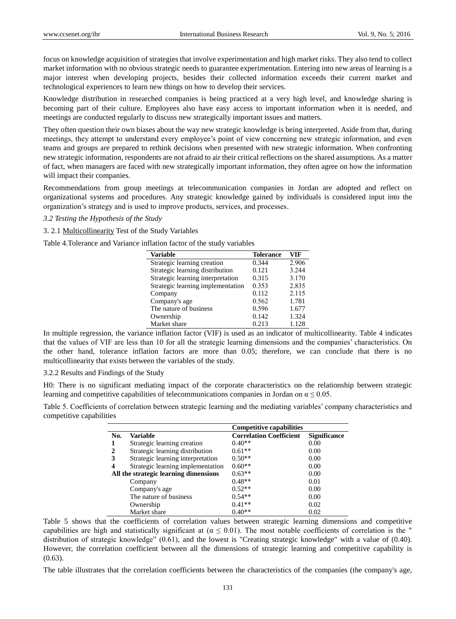focus on knowledge acquisition of strategies that involve experimentation and high market risks. They also tend to collect market information with no obvious strategic needs to guarantee experimentation. Entering into new areas of learning is a major interest when developing projects, besides their collected information exceeds their current market and technological experiences to learn new things on how to develop their services.

Knowledge distribution in researched companies is being practiced at a very high level, and knowledge sharing is becoming part of their culture. Employees also have easy access to important information when it is needed, and meetings are conducted regularly to discuss new strategically important issues and matters.

They often question their own biases about the way new strategic knowledge is being interpreted. Aside from that, during meetings, they attempt to understand every employee's point of view concerning new strategic information, and even teams and groups are prepared to rethink decisions when presented with new strategic information. When confronting new strategic information, respondents are not afraid to air their critical reflections on the shared assumptions. As a matter of fact, when managers are faced with new strategically important information, they often agree on how the information will impact their companies.

Recommendations from group meetings at telecommunication companies in Jordan are adopted and reflect on organizational systems and procedures. Any strategic knowledge gained by individuals is considered input into the organization's strategy and is used to improve products, services, and processes.

#### *3.2 Testing the Hypothesis of the Study*

3. 2.1 Multicollinearity Test of the Study Variables

Table 4.Tolerance and Variance inflation factor of the study variables

| Variable                          | <b>Tolerance</b> | <b>VIF</b> |
|-----------------------------------|------------------|------------|
| Strategic learning creation       | 0.344            | 2.906      |
| Strategic learning distribution   | 0.121            | 3.244      |
| Strategic learning interpretation | 0.315            | 3.170      |
| Strategic learning implementation | 0.353            | 2.835      |
| Company                           | 0.112            | 2.115      |
| Company's age                     | 0.562            | 1.781      |
| The nature of business            | 0.596            | 1.677      |
| Ownership                         | 0.142            | 1.324      |
| Market share                      | 0.213            | 1.128      |

In multiple regression, the variance inflation factor (VIF) is used as an indicator of multicollinearity. Table 4 indicates that the values of VIF are less than 10 for all the strategic learning dimensions and the companies' characteristics. On the other hand, tolerance inflation factors are more than 0.05; therefore, we can conclude that there is no multicollinearity that exists between the variables of the study.

3.2.2 Results and Findings of the Study

H0: There is no significant mediating impact of the corporate characteristics on the relationship between strategic learning and competitive capabilities of telecommunications companies in Jordan on  $\alpha \leq 0.05$ .

Table 5. Coefficients of correlation between strategic learning and the mediating variables' company characteristics and competitive capabilities

|                                       |                                   | <b>Competitive capabilities</b> |                     |  |  |
|---------------------------------------|-----------------------------------|---------------------------------|---------------------|--|--|
| No.                                   | Variable                          | <b>Correlation Coefficient</b>  | <b>Significance</b> |  |  |
|                                       | Strategic learning creation       | $0.40**$                        | 0.00                |  |  |
| 2                                     | Strategic learning distribution   | $0.61**$                        | 0.00                |  |  |
|                                       | Strategic learning interpretation | $0.50**$                        | 0.00                |  |  |
| 4                                     | Strategic learning implementation | $0.60**$                        | 0.00                |  |  |
| All the strategic learning dimensions |                                   | $0.63**$                        | 0.00                |  |  |
|                                       | Company                           | $0.48**$                        | 0.01                |  |  |
|                                       | Company's age                     | $0.52**$                        | 0.00                |  |  |
|                                       | The nature of business            | $0.54**$                        | 0.00                |  |  |
|                                       | Ownership                         | $0.41**$                        | 0.02                |  |  |
|                                       | Market share                      | $0.40**$                        | 0.02                |  |  |

Table 5 shows that the coefficients of correlation values between strategic learning dimensions and competitive capabilities are high and statistically significant at  $(\alpha \leq 0.01)$ . The most notable coefficients of correlation is the " distribution of strategic knowledge" (0.61), and the lowest is "Creating strategic knowledge" with a value of (0.40). However, the correlation coefficient between all the dimensions of strategic learning and competitive capability is (0.63).

The table illustrates that the correlation coefficients between the characteristics of the companies (the company's age,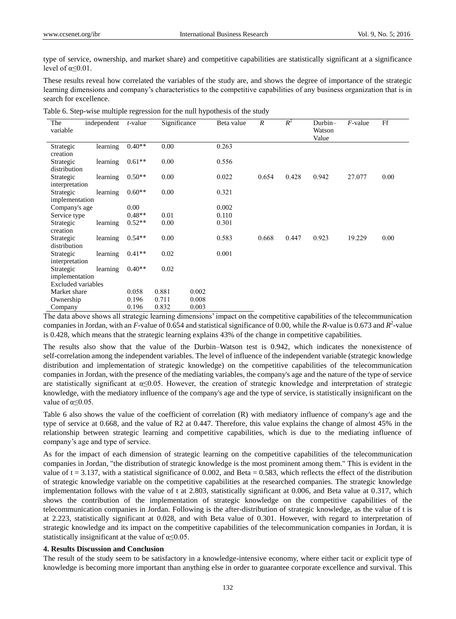type of service, ownership, and market share) and competitive capabilities are statistically significant at a significance level of  $\alpha \leq 0.01$ .

These results reveal how correlated the variables of the study are, and shows the degree of importance of the strategic learning dimensions and company's characteristics to the competitive capabilities of any business organization that is in search for excellence.

Table 6. Step-wise multiple regression for the null hypothesis of the study

| The<br>variable             | independent | $t$ -value | Significance | Beta value | $\boldsymbol{R}$ | $R^2$ | Durbin-<br>Watson<br>Value | $F$ -value | Ff   |
|-----------------------------|-------------|------------|--------------|------------|------------------|-------|----------------------------|------------|------|
| Strategic<br>creation       | learning    | $0.40**$   | 0.00         | 0.263      |                  |       |                            |            |      |
| Strategic<br>distribution   | learning    | $0.61**$   | 0.00         | 0.556      |                  |       |                            |            |      |
| Strategic<br>interpretation | learning    | $0.50**$   | 0.00         | 0.022      | 0.654            | 0.428 | 0.942                      | 27.077     | 0.00 |
| Strategic<br>implementation | learning    | $0.60**$   | 0.00         | 0.321      |                  |       |                            |            |      |
| Company's age               |             | 0.00       |              | 0.002      |                  |       |                            |            |      |
| Service type                |             | $0.48**$   | 0.01         | 0.110      |                  |       |                            |            |      |
| Strategic<br>creation       | learning    | $0.52**$   | 0.00         | 0.301      |                  |       |                            |            |      |
| Strategic<br>distribution   | learning    | $0.54**$   | 0.00         | 0.583      | 0.668            | 0.447 | 0.923                      | 19.229     | 0.00 |
| Strategic<br>interpretation | learning    | $0.41**$   | 0.02         | 0.001      |                  |       |                            |            |      |
| Strategic                   | learning    | $0.40**$   | 0.02         |            |                  |       |                            |            |      |
| implementation              |             |            |              |            |                  |       |                            |            |      |
| <b>Excluded variables</b>   |             |            |              |            |                  |       |                            |            |      |
| Market share                |             | 0.058      | 0.881        | 0.002      |                  |       |                            |            |      |
| Ownership                   |             | 0.196      | 0.711        | 0.008      |                  |       |                            |            |      |
| Company                     |             | 0.196      | 0.832        | 0.003      |                  |       |                            |            |      |

The data above shows all strategic learning dimensions' impact on the competitive capabilities of the telecommunication companies in Jordan, with an *F*-value of 0.654 and statistical significance of 0.00, while the *R*-value is 0.673 and  $R^2$ -value is 0.428, which means that the strategic learning explains 43% of the change in competitive capabilities.

The results also show that the value of the Durbin–Watson test is 0.942, which indicates the nonexistence of self-correlation among the independent variables. The level of influence of the independent variable (strategic knowledge distribution and implementation of strategic knowledge) on the competitive capabilities of the telecommunication companies in Jordan, with the presence of the mediating variables, the company's age and the nature of the type of service are statistically significant at  $\alpha \leq 0.05$ . However, the creation of strategic knowledge and interpretation of strategic knowledge, with the mediatory influence of the company's age and the type of service, is statistically insignificant on the value of  $\alpha \leq 0.05$ .

Table 6 also shows the value of the coefficient of correlation (R) with mediatory influence of company's age and the type of service at 0.668, and the value of R2 at 0.447. Therefore, this value explains the change of almost 45% in the relationship between strategic learning and competitive capabilities, which is due to the mediating influence of company's age and type of service.

As for the impact of each dimension of strategic learning on the competitive capabilities of the telecommunication companies in Jordan, "the distribution of strategic knowledge is the most prominent among them." This is evident in the value of  $t = 3.137$ , with a statistical significance of 0.002, and Beta = 0.583, which reflects the effect of the distribution of strategic knowledge variable on the competitive capabilities at the researched companies. The strategic knowledge implementation follows with the value of t at 2.803, statistically significant at 0.006, and Beta value at 0.317, which shows the contribution of the implementation of strategic knowledge on the competitive capabilities of the telecommunication companies in Jordan. Following is the after-distribution of strategic knowledge, as the value of t is at 2.223, statistically significant at 0.028, and with Beta value of 0.301. However, with regard to interpretation of strategic knowledge and its impact on the competitive capabilities of the telecommunication companies in Jordan, it is statistically insignificant at the value of  $\alpha \le 0.05$ .

#### **4. Results Discussion and Conclusion**

The result of the study seem to be satisfactory in a knowledge-intensive economy, where either tacit or explicit type of knowledge is becoming more important than anything else in order to guarantee corporate excellence and survival. This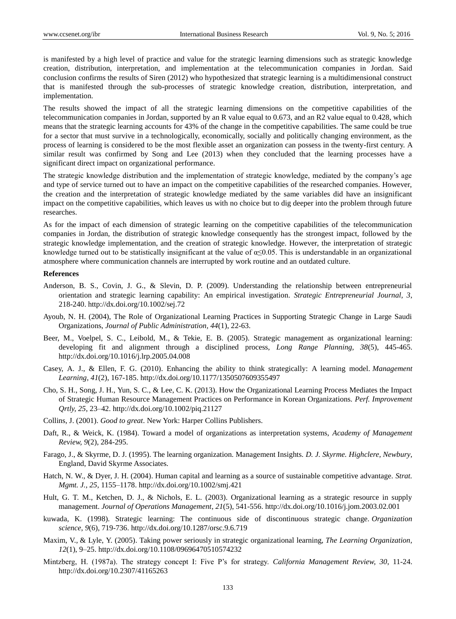is manifested by a high level of practice and value for the strategic learning dimensions such as strategic knowledge creation, distribution, interpretation, and implementation at the telecommunication companies in Jordan. Said conclusion confirms the results of Siren (2012) who hypothesized that strategic learning is a multidimensional construct that is manifested through the sub-processes of strategic knowledge creation, distribution, interpretation, and implementation.

The results showed the impact of all the strategic learning dimensions on the competitive capabilities of the telecommunication companies in Jordan, supported by an R value equal to 0.673, and an R2 value equal to 0.428, which means that the strategic learning accounts for 43% of the change in the competitive capabilities. The same could be true for a sector that must survive in a technologically, economically, socially and politically changing environment, as the process of learning is considered to be the most flexible asset an organization can possess in the twenty-first century. A similar result was confirmed by Song and Lee (2013) when they concluded that the learning processes have a significant direct impact on organizational performance.

The strategic knowledge distribution and the implementation of strategic knowledge, mediated by the company's age and type of service turned out to have an impact on the competitive capabilities of the researched companies. However, the creation and the interpretation of strategic knowledge mediated by the same variables did have an insignificant impact on the competitive capabilities, which leaves us with no choice but to dig deeper into the problem through future researches.

As for the impact of each dimension of strategic learning on the competitive capabilities of the telecommunication companies in Jordan, the distribution of strategic knowledge consequently has the strongest impact, followed by the strategic knowledge implementation, and the creation of strategic knowledge. However, the interpretation of strategic knowledge turned out to be statistically insignificant at the value of α≤0.05. This is understandable in an organizational atmosphere where communication channels are interrupted by work routine and an outdated culture.

#### **References**

- Anderson, B. S., Covin, J. G., & Slevin, D. P. (2009). Understanding the relationship between entrepreneurial orientation and strategic learning capability: An empirical investigation. *Strategic Entrepreneurial Journal, 3*, 218-240. <http://dx.doi.org/10.1002/sej.72>
- Ayoub, N. H. (2004), The Role of Organizational Learning Practices in Supporting Strategic Change in Large Saudi Organizations, *Journal of Public Administration, 44*(1), 22-63.
- Beer, M., Voelpel, S. C., Leibold, M., & Tekie, E. B. (2005). Strategic management as organizational learning: developing fit and alignment through a disciplined process, *Long Range Planning, 38*(5), 445-465. <http://dx.doi.org/10.1016/j.lrp.2005.04.008>
- Casey, A. J., & Ellen, F. G. (2010). Enhancing the ability to think strategically: A learning model. *Management Learning, 41*(2), 167-185. <http://dx.doi.org/10.1177/1350507609355497>
- Cho, S. H., Song, J. H., Yun, S. C., & Lee, C. K. (2013). How the Organizational Learning Process Mediates the Impact of Strategic Human Resource Management Practices on Performance in Korean Organizations. *Perf. Improvement Qrtly, 25*, 23–42.<http://dx.doi.org/10.1002/piq.21127>
- Collins, J. (2001). *Good to great*. New York: Harper Collins Publishers.
- Daft, R., & Weick, K. (1984). Toward a model of organizations as interpretation systems, *Academy of Management Review, 9*(2), 284-295.
- Farago, J., & Skyrme, D. J. (1995). The learning organization. Management Insights. *D. J. Skyrme. Highclere, Newbury*, England, David Skyrme Associates.
- Hatch, N. W., & Dyer, J. H. (2004). Human capital and learning as a source of sustainable competitive advantage. *Strat. Mgmt. J., 25*, 1155–1178. <http://dx.doi.org/10.1002/smj.421>
- Hult, G. T. M., Ketchen, D. J., & Nichols, E. L. (2003). Organizational learning as a strategic resource in supply management. *Journal of Operations Management*, *21*(5), 541-556. <http://dx.doi.org/10.1016/j.jom.2003.02.001>
- kuwada, K. (1998). Strategic learning: The continuous side of discontinuous strategic change. *Organization science*, *9*(6), 719-736. <http://dx.doi.org/10.1287/orsc.9.6.719>
- Maxim, V., & Lyle, Y. (2005). Taking power seriously in strategic organizational learning, *The Learning Organization, 12*(1), 9–25. <http://dx.doi.org/10.1108/09696470510574232>
- Mintzberg, H. (1987a). The strategy concept I: Five P's for strategy. *California Management Review, 30*, 11-24. <http://dx.doi.org/10.2307/41165263>